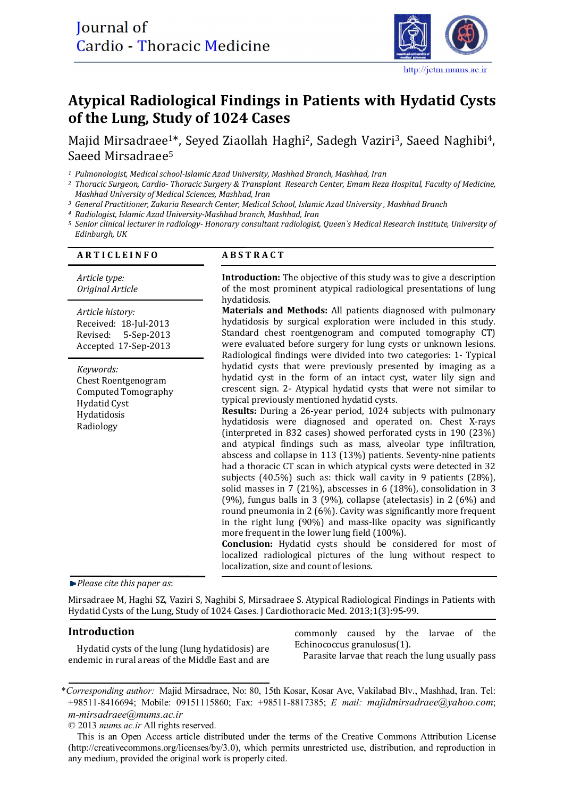

# Atypical Radiological Findings in Patients with Hydatid Cysts of the Lung, Study of 1024 Cases

Majid Mirsadraee<sup>1\*</sup>, Seyed Ziaollah Haghi<sup>2</sup>, Sadegh Vaziri<sup>3</sup>, Saeed Naghibi<sup>4</sup>, Saeed Mirsadraee<sup>5</sup>

*<sup>1</sup> Pulmonologist, Medical school-Islamic Azad University, Mashhad Branch, Mashhad, Iran* 

- *<sup>2</sup> Thoracic Surgeon, Cardio- Thoracic Surgery & Transplant Research Center, Emam Reza Hospital, Faculty of Medicine, Mashhad University of Medical Sciences, Mashhad, Iran*
- *<sup>3</sup> General Practitioner, Zakaria Research Center, Medical School, Islamic Azad University , Mashhad Branch*

*<sup>4</sup> Radiologist, Islamic Azad University-Mashhad branch, Mashhad, Iran* 

*<sup>5</sup> Senior clinical lecturer in radiology- Honorary consultant radiologist, Queen`s Medical Research Institute, University of Edinburgh, UK* 

#### **A R T I C L E I N F O**

### **ABSTRACT**

*Article type: Original Article* 

*Article history:*  Received: 18-Jul-2013 Revised: 5-Sep-2013 Accepted 17-Sep-2013 

*Keywords:*  Chest Roentgenogram Computed Tomography Hydatid Cyst Hydatidosis Radiology

**Introduction:** The objective of this study was to give a description of the most prominent atypical radiological presentations of lung hydatidosis. 

**Materials and Methods:** All patients diagnosed with pulmonary hydatidosis by surgical exploration were included in this study. Standard chest roentgenogram and computed tomography CT) were evaluated before surgery for lung cysts or unknown lesions. Radiological findings were divided into two categories: 1- Typical hydatid cysts that were previously presented by imaging as a hydatid cyst in the form of an intact cyst, water lily sign and crescent sign. 2- Atypical hydatid cysts that were not similar to typical previously mentioned hydatid cysts.

**Results:** During a 26-year period, 1024 subjects with pulmonary hydatidosis were diagnosed and operated on. Chest X-rays (interpreted in 832 cases) showed perforated cysts in 190 (23%) and atypical findings such as mass, alveolar type infiltration, abscess and collapse in 113 (13%) patients. Seventy-nine patients had a thoracic CT scan in which atypical cysts were detected in 32 subjects  $(40.5\%)$  such as: thick wall cavity in 9 patients  $(28\%)$ , solid masses in 7 (21%), abscesses in 6 (18%), consolidation in 3 (9%), fungus balls in 3 (9%), collapse (atelectasis) in 2 (6%) and round pneumonia in 2  $(6%)$ . Cavity was significantly more frequent in the right lung  $(90\%)$  and mass-like opacity was significantly more frequent in the lower lung field (100%).

**Conclusion:** Hydatid cysts should be considered for most of localized radiological pictures of the lung without respect to localization, size and count of lesions.

*Please cite this paper as*: 

Mirsadraee M, Haghi SZ, Vaziri S, Naghibi S, Mirsadraee S. Atypical Radiological Findings in Patients with Hydatid Cysts of the Lung, Study of 1024 Cases. J Cardiothoracic Med. 2013;1(3):95-99.

#### **Introduction**

Hydatid cysts of the lung (lung hydatidosis) are endemic in rural areas of the Middle East and are commonly caused by the larvae of the Echinococcus granulosus(1).

Parasite larvae that reach the lung usually pass

<sup>\*</sup>*Corresponding author:* Majid Mirsadraee, No: 80, 15th Kosar, Kosar Ave, Vakilabad Blv., Mashhad, Iran. Tel: +98511-8416694; Mobile: 09151115860; Fax: +98511-8817385; *E mail: majidmirsadraee@yahoo.com*; *m-mirsadraee@mums.ac.ir* 

<sup>© 2013</sup> *mums.ac.ir* All rights reserved.

This is an Open Access article distributed under the terms of the Creative Commons Attribution License (http://creativecommons.org/licenses/by/3.0), which permits unrestricted use, distribution, and reproduction in any medium, provided the original work is properly cited.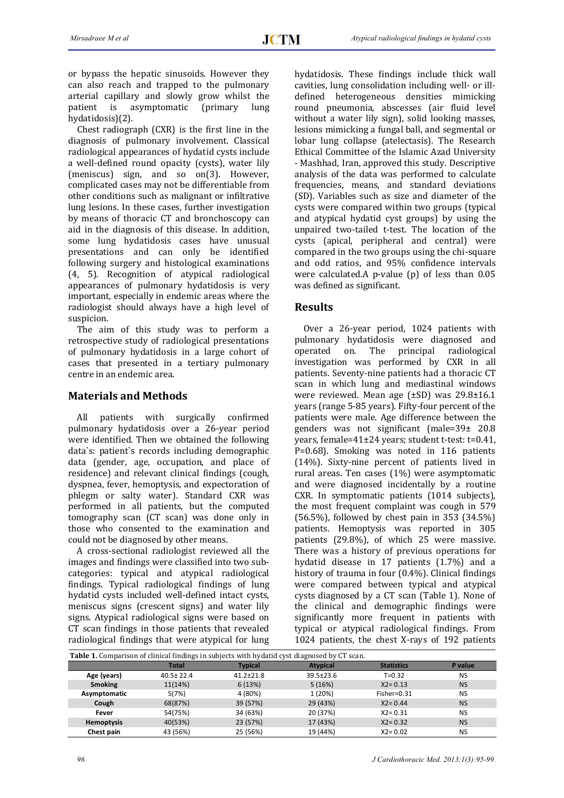or bypass the hepatic sinusoids. However they can also reach and trapped to the pulmonary arterial capillary and slowly grow whilst the patient is asymptomatic (primary lung is asymptomatic (primary lung hydatidosis)(2). 

Chest radiograph  $(CXR)$  is the first line in the diagnosis of pulmonary involvement. Classical radiological appearances of hydatid cysts include a well-defined round opacity (cysts), water lily (meniscus) sign, and so on(3). However, complicated cases may not be differentiable from other conditions such as malignant or infiltrative lung lesions. In these cases, further investigation by means of thoracic CT and bronchoscopy can aid in the diagnosis of this disease. In addition, some lung hydatidosis cases have unusual presentations and can only be identified following surgery and histological examinations (4, 5). Recognition of atypical radiological appearances of pulmonary hydatidosis is very important, especially in endemic areas where the radiologist should always have a high level of suspicion. 

The aim of this study was to perform a retrospective study of radiological presentations of pulmonary hydatidosis in a large cohort of cases that presented in a tertiary pulmonary centre in an endemic area.

#### **Materials and Methods**

All patients with surgically confirmed pulmonary hydatidosis over a 26-year period were identified. Then we obtained the following data's: patient's records including demographic data (gender, age, occupation, and place of residence) and relevant clinical findings (cough, dyspnea, fever, hemoptysis, and expectoration of phlegm or salty water). Standard CXR was performed in all patients, but the computed tomography scan (CT scan) was done only in those who consented to the examination and could not be diagnosed by other means.

A cross-sectional radiologist reviewed all the images and findings were classified into two subcategories: typical and atypical radiological findings. Typical radiological findings of lung hydatid cysts included well-defined intact cysts, meniscus signs (crescent signs) and water lily signs. Atypical radiological signs were based on CT scan findings in those patients that revealed radiological findings that were atypical for lung

hydatidosis. These findings include thick wall cavities, lung consolidation including well- or illdefined heterogeneous densities mimicking round pneumonia, abscesses (air fluid level without a water lily sign), solid looking masses, lesions mimicking a fungal ball, and segmental or lobar lung collapse (atelectasis). The Research Ethical Committee of the Islamic Azad University - Mashhad, Iran, approved this study. Descriptive analysis of the data was performed to calculate frequencies, means, and standard deviations (SD). Variables such as size and diameter of the cysts were compared within two groups (typical and atypical hydatid cyst groups) by using the unpaired two-tailed t-test. The location of the cysts (apical, peripheral and central) were compared in the two groups using the chi-square and odd ratios, and 95% confidence intervals were calculated.A p-value  $(p)$  of less than  $0.05$ was defined as significant.

#### **Results**

Over a 26-year period, 1024 patients with pulmonary hydatidosis were diagnosed and operated on. The principal radiological investigation was performed by CXR in all patients. Seventy-nine patients had a thoracic CT scan in which lung and mediastinal windows were reviewed. Mean age  $(\pm SD)$  was  $29.8\pm 16.1$ years (range 5-85 years). Fifty-four percent of the patients were male. Age difference between the genders was not significant  $(male=39\pm 20.8$ years, female= $41\pm24$  years; student t-test: t=0.41, P=0.68). Smoking was noted in 116 patients  $(14%)$ . Sixty-nine percent of patients lived in rural areas. Ten cases  $(1%)$  were asymptomatic and were diagnosed incidentally by a routine CXR. In symptomatic patients (1014 subjects), the most frequent complaint was cough in 579  $(56.5\%)$ , followed by chest pain in 353  $(34.5\%)$ patients. Hemoptysis was reported in 305 patients (29.8%), of which 25 were massive. There was a history of previous operations for hydatid disease in 17 patients (1.7%) and a history of trauma in four  $(0.4\%)$ . Clinical findings were compared between typical and atypical cysts diagnosed by a CT scan (Table 1). None of the clinical and demographic findings were significantly more frequent in patients with typical or atypical radiological findings. From 1024 patients, the chest X-rays of 192 patients

| <b>Table 1.</b> Comparison of clinical findings in subjects with hydatid cyst diagnosed by CT scan. |                 |                 |                 |                   |           |  |  |  |  |
|-----------------------------------------------------------------------------------------------------|-----------------|-----------------|-----------------|-------------------|-----------|--|--|--|--|
|                                                                                                     | <b>Total</b>    | <b>Typical</b>  | <b>Atypical</b> | <b>Statistics</b> | P value   |  |  |  |  |
| Age (years)                                                                                         | $40.5 \pm 22.4$ | $41.2 \pm 21.8$ | $39.5 \pm 23.6$ | $T = 0.32$        | <b>NS</b> |  |  |  |  |
| <b>Smoking</b>                                                                                      | 11(14%)         | 6(13%)          | 5(16%)          | $X2 = 0.13$       | <b>NS</b> |  |  |  |  |
| Asymptomatic                                                                                        | 5(7%)           | 4 (80%)         | 1 (20%)         | Fisher=0.31       | <b>NS</b> |  |  |  |  |
| Cough                                                                                               | 68(87%)         | 39 (57%)        | 29 (43%)        | $X2 = 0.44$       | <b>NS</b> |  |  |  |  |
| Fever                                                                                               | 54(75%)         | 34 (63%)        | 20 (37%)        | $X2 = 0.31$       | <b>NS</b> |  |  |  |  |
| <b>Hemoptysis</b>                                                                                   | 40(53%)         | 23 (57%)        | 17 (43%)        | $X2 = 0.32$       | <b>NS</b> |  |  |  |  |
| Chest pain                                                                                          | 43 (56%)        | 25 (56%)        | 19 (44%)        | $X2 = 0.02$       | <b>NS</b> |  |  |  |  |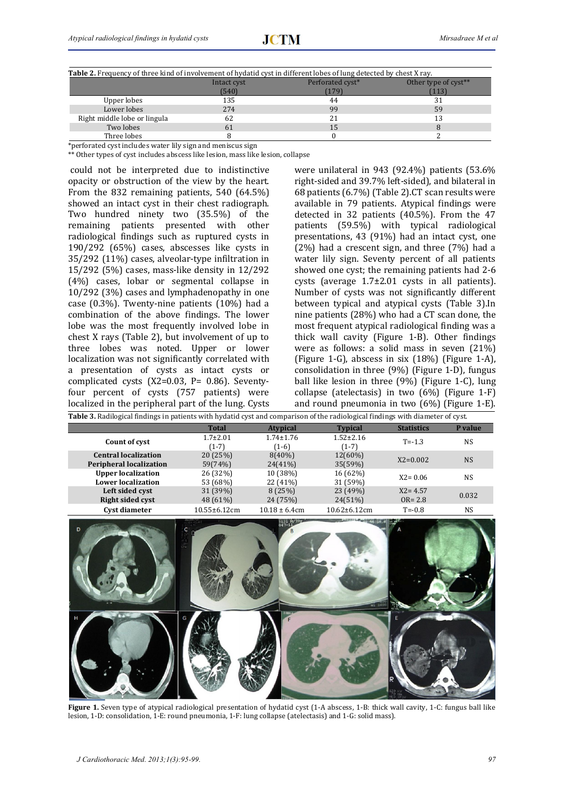| <b>Table 2.</b> Frequency of three kind of involvement of hydatid cyst in different lobes of lung detected by chest X ray. |             |                  |                      |  |  |  |  |
|----------------------------------------------------------------------------------------------------------------------------|-------------|------------------|----------------------|--|--|--|--|
|                                                                                                                            | Intact cyst | Perforated cyst* | Other type of cyst** |  |  |  |  |
|                                                                                                                            | (540)       | 1791             | 113                  |  |  |  |  |
| Upper lobes                                                                                                                | 135         | 44               |                      |  |  |  |  |
| Lower lobes                                                                                                                | 274         | 99               | 59                   |  |  |  |  |
| Right middle lobe or lingula                                                                                               | 62          | 21               |                      |  |  |  |  |
| Two lobes                                                                                                                  | 61          | 15               |                      |  |  |  |  |
| Three lobes                                                                                                                |             |                  |                      |  |  |  |  |

\*perforated cyst includes water lily sign and meniscus sign

\*\* Other types of cyst includes abscess like lesion, mass like lesion, collapse

could not be interpreted due to indistinctive opacity or obstruction of the view by the heart. From the  $832$  remaining patients,  $540$  (64.5%) showed an intact cyst in their chest radiograph. Two hundred ninety two (35.5%) of the remaining patients presented with other radiological findings such as ruptured cysts in  $190/292$  (65%) cases, abscesses like cysts in 35/292 (11%) cases, alveolar-type infiltration in  $15/292$  (5%) cases, mass-like density in  $12/292$ (4%) cases, lobar or segmental collapse in  $10/292$  (3%) cases and lymphadenopathy in one case  $(0.3\%)$ . Twenty-nine patients  $(10\%)$  had a combination of the above findings. The lower lobe was the most frequently involved lobe in chest  $X$  rays (Table 2), but involvement of up to three lobes was noted. Upper or lower localization was not significantly correlated with a presentation of cysts as intact cysts or complicated cysts  $(X2=0.03, P= 0.86)$ . Seventyfour percent of cysts (757 patients) were localized in the peripheral part of the lung. Cysts were unilateral in  $943$  ( $92.4\%$ ) patients (53.6% right-sided and 39.7% left-sided), and bilateral in 68 patients (6.7%) (Table 2).CT scan results were available in 79 patients. Atypical findings were detected in  $32$  patients  $(40.5\%)$ . From the  $47$ patients (59.5%) with typical radiological presentations,  $43$  ( $91\%$ ) had an intact cyst, one  $(2\%)$  had a crescent sign, and three  $(7\%)$  had a water lily sign. Seventy percent of all patients showed one cyst; the remaining patients had 2-6 cysts (average  $1.7\pm2.01$  cysts in all patients). Number of cysts was not significantly different between typical and atypical cysts (Table 3).In nine patients  $(28%)$  who had a CT scan done, the most frequent atypical radiological finding was a thick wall cavity (Figure 1-B). Other findings were as follows: a solid mass in seven  $(21%)$ (Figure 1-G), abscess in six  $(18%)$  (Figure 1-A), consolidation in three  $(9%)$  (Figure 1-D), fungus ball like lesion in three  $(9%)$  (Figure 1-C), lung collapse (atelectasis) in two  $(6%)$  (Figure 1-F) and round pneumonia in two  $(6%)$  (Figure 1-E).

| Table 3. Radilogical findings in patients with hydatid cyst and comparison of the radiological findings with diameter of cyst. |                           |                            |                            |                           |                |  |  |  |
|--------------------------------------------------------------------------------------------------------------------------------|---------------------------|----------------------------|----------------------------|---------------------------|----------------|--|--|--|
|                                                                                                                                | <b>Total</b>              | <b>Atypical</b>            | <b>Typical</b>             | <b>Statistics</b>         | P value        |  |  |  |
| Count of cyst                                                                                                                  | $1.7 \pm 2.01$<br>$(1-7)$ | $1.74 \pm 1.76$<br>$(1-6)$ | $1.52 \pm 2.16$<br>$(1-7)$ | $T = -1.3$                | <b>NS</b>      |  |  |  |
| <b>Central localization</b><br><b>Peripheral localization</b>                                                                  | 20(25%)<br>59(74%)        | $8(40\%)$<br>$24(41\%)$    | $12(60\%)$<br>35(59%)      | $X2=0.002$                | <b>NS</b>      |  |  |  |
| <b>Upper localization</b><br><b>Lower localization</b>                                                                         | 26 (32%)<br>53 (68%)      | 10 (38%)<br>22 (41%)       | 16 (62%)<br>31 (59%)       | $X2 = 0.06$               | <b>NS</b>      |  |  |  |
| Left sided cyst<br><b>Right sided cyst</b>                                                                                     | 31 (39%)<br>48 (61%)      | 8(25%)<br>24 (75%)         | 23 (49%)<br>$24(51\%)$     | $X2 = 4.57$<br>$OR = 2.8$ | 0.032          |  |  |  |
| Cyst diameter                                                                                                                  | $10.55 \pm 6.12$ cm       | $10.18 \pm 6.4$ cm         | $10.62 \pm 6.12$ cm        | $T = -0.8$                | N <sub>S</sub> |  |  |  |



**Figure 1.** Seven type of atypical radiological presentation of hydatid cyst (1-A abscess, 1-B: thick wall cavity, 1-C: fungus ball like lesion, 1-D: consolidation, 1-E: round pneumonia, 1-F: lung collapse (atelectasis) and 1-G: solid mass).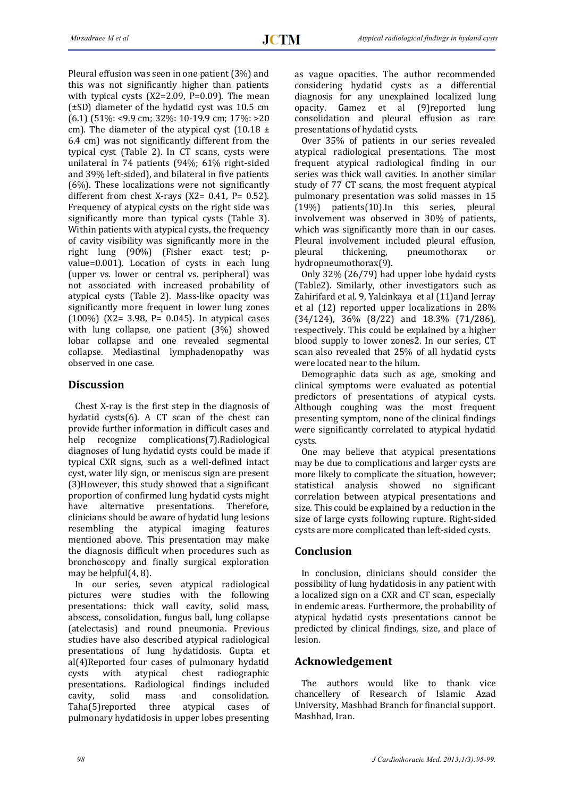Pleural effusion was seen in one patient  $(3%)$  and this was not significantly higher than patients with typical cysts  $(X2=2.09, P=0.09)$ . The mean  $(\pm SD)$  diameter of the hydatid cyst was 10.5 cm  $(6.1)$  (51%: <9.9 cm; 32%: 10-19.9 cm; 17%: >20 cm). The diameter of the atypical cyst  $(10.18 \pm$ 6.4 cm) was not significantly different from the tvpical cyst (Table 2). In CT scans, cysts were unilateral in  $74$  patients  $(94\%; 61\%$  right-sided and 39% left-sided), and bilateral in five patients  $(6%)$ . These localizations were not significantly different from chest X-rays  $(X2= 0.41, P= 0.52)$ . Frequency of atypical cysts on the right side was significantly more than typical cysts (Table 3). Within patients with atypical cysts, the frequency of cavity visibility was significantly more in the right lung (90%) (Fisher exact test; pvalue=0.001). Location of cysts in each lung (upper vs. lower or central vs. peripheral) was not associated with increased probability of atypical cysts (Table 2). Mass-like opacity was significantly more frequent in lower lung zones  $(100\%)$   $(X2 = 3.98, P = 0.045)$ . In atypical cases with lung collapse, one patient  $(3%)$  showed lobar collapse and one revealed segmental collapse. Mediastinal lymphadenopathy was observed in one case.

#### **Discussion**

Chest X-ray is the first step in the diagnosis of hydatid cysts $(6)$ . A CT scan of the chest can provide further information in difficult cases and help recognize complications(7).Radiological diagnoses of lung hydatid cysts could be made if typical CXR signs, such as a well-defined intact cyst, water lily sign, or meniscus sign are present (3) However, this study showed that a significant proportion of confirmed lung hydatid cysts might have alternative presentations. Therefore, clinicians should be aware of hydatid lung lesions resembling the atypical imaging features mentioned above. This presentation may make the diagnosis difficult when procedures such as bronchoscopy and finally surgical exploration may be helpful $(4, 8)$ .

In our series, seven atypical radiological pictures were studies with the following presentations: thick wall cavity, solid mass, abscess, consolidation, fungus ball, lung collapse (atelectasis) and round pneumonia. Previous studies have also described atypical radiological presentations of lung hydatidosis. Gupta et al(4)Reported four cases of pulmonary hydatid cysts with atypical chest radiographic presentations. Radiological findings included cavity, solid mass and consolidation. Taha(5)reported three atypical cases of pulmonary hydatidosis in upper lobes presenting

as vague opacities. The author recommended considering hydatid cysts as a differential diagnosis for any unexplained localized lung opacity. Gamez et al (9)reported lung consolidation and pleural effusion as rare presentations of hydatid cysts.

Over 35% of patients in our series revealed atypical radiological presentations. The most frequent atypical radiological finding in our series was thick wall cavities. In another similar study of 77 CT scans, the most frequent atypical pulmonary presentation was solid masses in 15  $(19%)$  patients $(10)$ . In this series, pleural involvement was observed in 30% of patients, which was significantly more than in our cases. Pleural involvement included pleural effusion, pleural thickening, pneumothorax or hydropneumothorax(9). 

Only 32% (26/79) had upper lobe hydaid cysts (Table2). Similarly, other investigators such as Zahirifard et al. 9, Yalcinkaya et al (11)and Jerray et al  $(12)$  reported upper localizations in  $28%$  $(34/124)$ ,  $36\%$   $(8/22)$  and  $18.3\%$   $(71/286)$ , respectively. This could be explained by a higher blood supply to lower zones2. In our series, CT scan also revealed that 25% of all hydatid cysts were located near to the hilum.

Demographic data such as age, smoking and clinical symptoms were evaluated as potential predictors of presentations of atypical cysts. Although coughing was the most frequent presenting symptom, none of the clinical findings were significantly correlated to atypical hydatid cysts. 

One may believe that atypical presentations may be due to complications and larger cysts are more likely to complicate the situation, however; statistical analysis showed no significant correlation between atypical presentations and size. This could be explained by a reduction in the size of large cysts following rupture. Right-sided cysts are more complicated than left-sided cysts.

#### **Conclusion**

In conclusion, clinicians should consider the possibility of lung hydatidosis in any patient with a localized sign on a CXR and CT scan, especially in endemic areas. Furthermore, the probability of atypical hydatid cysts presentations cannot be predicted by clinical findings, size, and place of lesion. 

#### **Acknowledgement**

The authors would like to thank vice chancellery of Research of Islamic Azad University, Mashhad Branch for financial support. Mashhad, Iran.